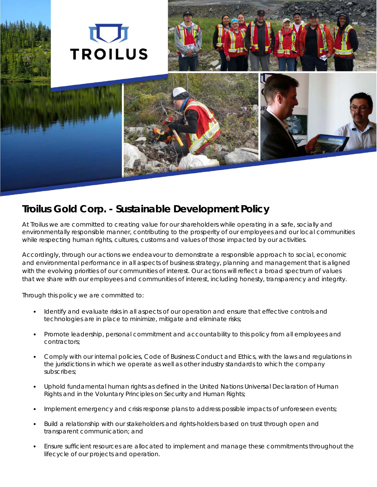

# **Troilus Gold Corp. - Sustainable Development Policy**

At Troilus we are committed to creating value for our shareholders while operating in a safe, socially and environmentally responsible manner, contributing to the prosperity of our employees and our local communities while respecting human rights, cultures, customs and values of those impacted by our activities.

Accordingly, through our actions we endeavour to demonstrate a responsible approach to social, economic and environmental performance in all aspects of business strategy, planning and management that is aligned with the evolving priorities of our communities of interest. Our actions will reflect a broad spectrum of values that we share with our employees and communities of interest, including honesty, transparency and integrity.

Through this policy we are committed to:

- Identify and evaluate risks in all aspects of our operation and ensure that effective controls and technologies are in place to minimize, mitigate and eliminate risks;
- Promote leadership, personal commitment and accountability to this policy from all employees and contractors;
- Comply with our internal policies, Code of Business Conduct and Ethics, with the laws and regulations in the jurisdictions in which we operate as well as other industry standards to which the company subscribes;
- Uphold fundamental human rights as defined in the United Nations Universal Declaration of Human Rights and in the Voluntary Principles on Security and Human Rights;
- Implement emergency and crisis response plans to address possible impacts of unforeseen events;
- Build a relationship with our stakeholders and rights-holders based on trust through open and transparent communication; and
- Ensure sufficient resources are allocated to implement and manage these commitments throughout the lifecycle of our projects and operation.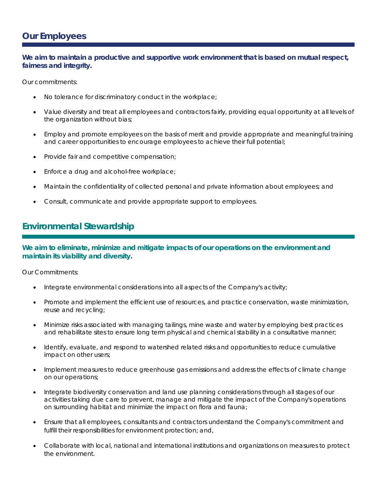## **Our Employees**

#### **We aim to maintain a productive and supportive work environment that is based on mutual respect, fairness and integrity.**

Our commitments:

- No tolerance for discriminatory conduct in the workplace;
- Value diversity and treat all employees and contractors fairly, providing equal opportunity at all levels of the organization without bias;
- Employ and promote employees on the basis of merit and provide appropriate and meaningful training and career opportunities to encourage employees to achieve their full potential;
- Provide fair and competitive compensation;
- Enforce a drug and alcohol-free workplace;
- Maintain the confidentiality of collected personal and private information about employees; and
- Consult, communicate and provide appropriate support to employees.

### **Environmental Stewardship**

**We aim to eliminate, minimize and mitigate impacts of our operations on the environment and maintain its viability and diversity.**

Our Commitments:

- Integrate environmental considerations into all aspects of the Company's activity;
- Promote and implement the efficient use of resources, and practice conservation, waste minimization, reuse and recycling;
- Minimize risks associated with managing tailings, mine waste and water by employing best practices and rehabilitate sites to ensure long term physical and chemical stability in a consultative manner;
- Identify, evaluate, and respond to watershed related risks and opportunities to reduce cumulative impact on other users;
- Implement measures to reduce greenhouse gas emissions and address the effects of climate change on our operations;
- Integrate biodiversity conservation and land use planning considerations through all stages of our activities taking due care to prevent, manage and mitigate the impact of the Company's operations on surrounding habitat and minimize the impact on flora and fauna;
- Ensure that all employees, consultants and contractors understand the Company's commitment and fulfill their responsibilities for environment protection; and,
- Collaborate with local, national and international institutions and organizations on measures to protect the environment.